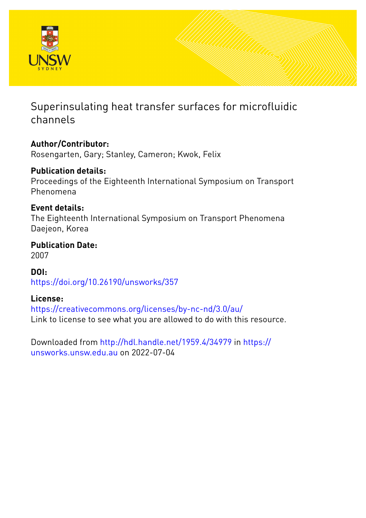

# Superinsulating heat transfer surfaces for microfluidic channels

## **Author/Contributor:**

Rosengarten, Gary; Stanley, Cameron; Kwok, Felix

### **Publication details:**

Proceedings of the Eighteenth International Symposium on Transport Phenomena

### **Event details:**

The Eighteenth International Symposium on Transport Phenomena Daejeon, Korea

### **Publication Date:** 2007

**DOI:** [https://doi.org/10.26190/unsworks/357](http://dx.doi.org/https://doi.org/10.26190/unsworks/357)

### **License:**

<https://creativecommons.org/licenses/by-nc-nd/3.0/au/> Link to license to see what you are allowed to do with this resource.

Downloaded from <http://hdl.handle.net/1959.4/34979> in [https://](https://unsworks.unsw.edu.au) [unsworks.unsw.edu.au](https://unsworks.unsw.edu.au) on 2022-07-04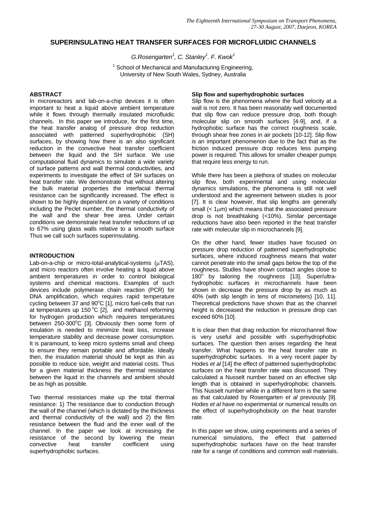#### **SUPERINSULATING HEAT TRANSFER SURFACES FOR MICROFLUIDIC CHANNELS**

 $G.Rosengarten<sup>1</sup>, C. Stanley<sup>1</sup>. F. Kwok<sup>1</sup>$ 

<sup>1</sup> School of Mechanical and Manufacturing Engineering, University of New South Wales, Sydney, Australia

#### **ABSTRACT**

In microreactors and lab-on-a-chip devices it is often important to heat a liquid above ambient temperature while it flows through thermally insulated microfluidic channels. In this paper we introduce, for the first time, the heat transfer analog of pressure drop reduction associated with patterned superhydrophobic (SH) surfaces, by showing how there is an also significant reduction in the convective heat transfer coefficient between the liquid and the SH surface. We use computational fluid dynamics to simulate a wide variety of surface patterns and wall thermal conductivities, and experiments to investigate the effect of SH surfaces on heat transfer rate. We demonstrate that without altering the bulk material properties the interfacial thermal resistance can be significantly increased. The effect is shown to be highly dependent on a variety of conditions including the Peclet number, the thermal conductivity of the wall and the shear free area. Under certain conditions we demonstrate heat transfer reductions of up to 67% using glass walls relative to a smooth surface Thus we call such surfaces superinsulating.

#### **INTRODUCTION**

Lab-on-a-chip or micro-total-analytical-systems (μTAS), and micro reactors often involve heating a liquid above ambient temperatures in order to control biological systems and chemical reactions. Examples of such devices include polymerase chain reaction (PCR) for DNA amplification, which requires rapid temperature cycling between 37 and  $90^{\circ}$ C [1], micro fuel-cells that run at temperatures up 150 $\degree$ C [2], and methanol reforming for hydrogen production which requires temperatures between  $250-300^{\circ}$ C [3]. Obviously then some form of insulation is needed to minimize heat loss, increase temperature stability and decrease power consumption. It is paramount, to keep micro systems small and cheep to ensure they remain portable and affordable. Ideally then, the insulation material should be kept as thin as possible to reduce size, weight and material costs. Thus for a given material thickness the thermal resistance between the liquid in the channels and ambient should be as high as possible.

Two thermal resistances make up the total thermal resistance: 1) The resistance due to conduction through the wall of the channel (which is dictated by the thickness and thermal conductivity of the wall) and 2) the film resistance between the fluid and the inner wall of the channel. In the paper we look at increasing the resistance of the second by lowering the mean convective heat transfer coefficient using superhydrophobic surfaces.

#### **Slip flow and superhydrophobic surfaces**

Slip flow is the phenomena where the fluid velocity at a wall is not zero. It has been reasonably well documented that slip flow can reduce pressure drop, both though molecular slip on smooth surfaces [4-9], and, if a hydrophobic surface has the correct roughness scale, through shear free zones in air pockets [10-12]. Slip flow is an important phenomenon due to the fact that as the friction induced pressure drop reduces less pumping power is required. This allows for smaller cheaper pumps that require less energy to run.

While there has been a plethora of studies on molecular slip flow, both experimental and using molecular dynamics simulations, the phenomena is still not well understood and the agreement between studies is poor [7]. It is clear however, that slip lengths are generally small  $(< 1 \mu m)$  which means that the associated pressure drop is not breathtaking (<10%). Similar percentage reductions have also been reported in the heat transfer rate with molecular slip in microchannels [9].

On the other hand, fewer studies have focused on pressure drop reduction of patterned superhydrophobic surfaces, where induced roughness means that water cannot penetrate into the small gaps below the top of the roughness. Studies have shown contact angles close to 180<sup>°</sup> by tailoring the roughness [13]. Super/ultrahydrophobic surfaces in microchannels have been shown in decrease the pressure drop by as much as 40% (with slip length in tens of micrometers) [10, 11]. Theoretical predictions have shown that as the channel height is decreased the reduction in pressure drop can exceed 60% [10].

It is clear then that drag reduction for microchannel flow is very useful and possible with superhydrophobic surfaces. The question then arises regarding the heat transfer. What happens to the heat transfer rate in superhydrophobic surfaces. In a very recent paper by Hodes *et al* [14] the effect of patterned superhydrophobic surfaces on the heat transfer rate was discussed. They calculated a Nusselt number based on an effective slip length that is obtained in superhydrophobic channels. This Nusselt number while in a different form is the same as that calculated by Rosengarten *et al* previously [9]. Hodes *et al* have no experimental or numerical results on the effect of superhydrophobicity on the heat transfer rate.

In this paper we show, using experiments and a series of numerical simulations, the effect that patterned superhydrophobic surfaces have on the heat transfer rate for a range of conditions and common wall materials.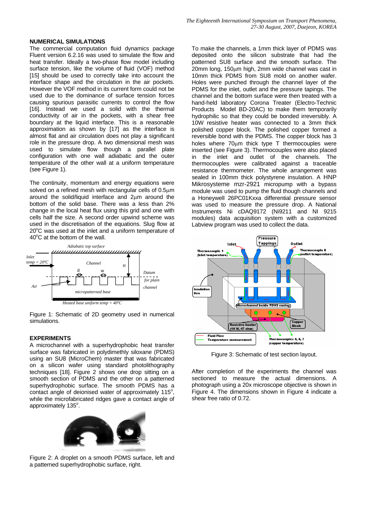#### **NUMERICAL SIMULATIONS**

The commercial computation fluid dynamics package Fluent version 6.2.16 was used to simulate the flow and heat transfer. Ideally a two-phase flow model including surface tension, like the volume of fluid (VOF) method [15] should be used to correctly take into account the interface shape and the circulation in the air pockets. However the VOF method in its current form could not be used due to the dominance of surface tension forces causing spurious parasitic currents to control the flow [16]. Instead we used a solid with the thermal conductivity of air in the pockets, with a shear free boundary at the liquid interface. This is a reasonable approximation as shown by [17] as the interface is almost flat and air circulation does not play a significant role in the pressure drop. A two dimensional mesh was used to simulate flow though a parallel plate configuration with one wall adiabatic and the outer temperature of the other wall at a uniform temperature (see Figure 1).

The continuity, momentum and energy equations were solved on a refined mesh with rectangular cells of 0.5μm around the solid/liquid interface and 2μm around the bottom of the solid base. There was a less than 2% change in the local heat flux using this grid and one with cells half the size. A second order upwind scheme was used in the discretisation of the equations. Slug flow at 20°C was used at the inlet and a uniform temperature of  $40^{\circ}$ C at the bottom of the wall.



Figure 1: Schematic of 2D geometry used in numerical simulations.

#### **EXPERIMENTS**

A microchannel with a superhydrophobic heat transfer surface was fabricated in polydimethly siloxane (PDMS) using an SU8 (MicroChem) master that was fabricated on a silicon wafer using standard photolithography techniques [18]. Figure 2 shows one drop sitting on a smooth section of PDMS and the other on a patterned superhydrophobic surface. The smooth PDMS has a contact angle of deionised water of approximately  $115^\circ$ , while the microfabricated ridges gave a contact angle of approximately 135°.



Figure 2: A droplet on a smooth PDMS surface, left and a patterned superhydrophobic surface, right.

To make the channels, a 1mm thick layer of PDMS was deposited onto the silicon substrate that had the patterned SU8 surface and the smooth surface. The 20mm long, 150μm high, 2mm wide channel was cast in 10mm thick PDMS from SU8 mold on another wafer. Holes were punched through the channel layer of the PDMS for the inlet, outlet and the pressure tapings. The channel and the bottom surface were then treated with a hand-held laboratory Corona Treater (Electro-Technic Products Model BD-20AC) to make them temporarily hydrophilic so that they could be bonded irreversibly. A 10W resistive heater was connected to a 3mm thick polished copper block. The polished copper formed a reversible bond with the PDMS. The copper block has 3 holes where 70μm thick type T thermocouples were inserted (see Figure 3). Thermocouples were also placed in the inlet and outlet of the channels. The thermocouples were calibrated against a traceable resistance thermometer. The whole arrangement was sealed in 100mm thick polystyrene insulation. A HNP Mikrosysteme mzr-2921 micropump with a bypass module was used to pump the fluid though channels and a Honeywell 26PC01Kxxa differential pressure sensor was used to measure the pressure drop. A National Instruments Ni cDAQ9172 (Ni9211 and NI 9215 modules) data acquisition system with a customized Labview program was used to collect the data.



Figure 3: Schematic of test section layout.

After completion of the experiments the channel was sectioned to measure the actual dimensions. A photograph using a 20x microscope objective is shown in Figure 4. The dimensions shown in Figure 4 indicate a shear free ratio of 0.72.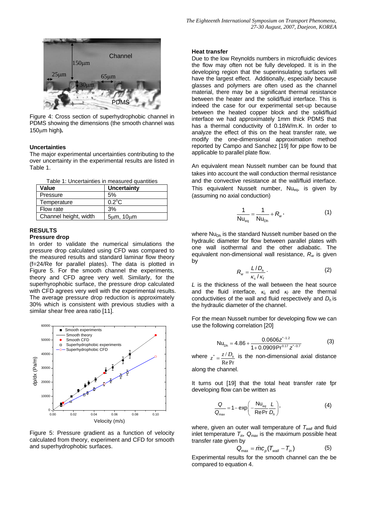

Figure 4: Cross section of superhydrophobic channel in PDMS showing the dimensions (the smooth channel was 150μm high**).**

#### **Uncertainties**

The major experimental uncertainties contributing to the over uncertainty in the experimental results are listed in Table 1.

| Table 1: Uncertainties in measured quantities |  |
|-----------------------------------------------|--|
|-----------------------------------------------|--|

| Value                 | Uncertainty          |
|-----------------------|----------------------|
| Pressure              | 5%                   |
| Temperature           | $0.2^{\circ}$ C      |
| Flow rate             | 3%                   |
| Channel height, width | $5\mu m$ , $10\mu m$ |

#### **RESULTS**

#### **Pressure drop**

In order to validate the numerical simulations the pressure drop calculated using CFD was compared to the measured results and standard laminar flow theory (f=24/Re for parallel plates). The data is plotted in Figure 5. For the smooth channel the experiments, theory and CFD agree very well. Similarly, for the superhyrophobic surface, the pressure drop calculated with CFD agrees very well with the experimental results. The average pressure drop reduction is approximately 30% which is consistent with previous studies with a similar shear free area ratio [11].



Figure 5: Pressure gradient as a function of velocity calculated from theory, experiment and CFD for smooth and superhydrophobic surfaces.

#### **Heat transfer**

Due to the low Reynolds numbers in microfluidic devices the flow may often not be fully developed. It is in the developing region that the superinsulating surfaces will have the largest effect. Additionally, especially because glasses and polymers are often used as the channel material, there may be a significant thermal resistance between the heater and the solid/fluid interface. This is indeed the case for our experimental set-up because between the heated copper block and the solid/fluid interface we had approximately 1mm thick PDMS that has a thermal conductivity of 0.18W/m.K. In order to analyze the effect of this on the heat transfer rate, we modify the one-dimensional approximation method reported by Campo and Sanchez [19] for pipe flow to be applicable to parallel plate flow.

An equivalent mean Nusselt number can be found that takes into account the wall conduction thermal resistance and the convective resistance at the wall/fluid interface. This equivalent Nusselt number,  $Nu_{eq}$ , is given by (assuming no axial conduction)

$$
\frac{1}{Nu_{eq}} = \frac{1}{Nu_{ph}} + R_w,
$$
 (1)

where  $Nu<sub>dh</sub>$  is the standard Nusselt number based on the hydraulic diameter for flow between parallel plates with one wall isothermal and the other adiabatic. The equivalent non-dimensional wall resistance, *Rw* is given by

$$
R_w = \frac{L/D_h}{\kappa_s / \kappa_f} \,. \tag{2}
$$

*L* is the thickness of the wall between the heat source and the fluid interface, <sup>κ</sup>*s* and <sup>κ</sup>*f* are the thermal conductivities of the wall and fluid respectively and *Dh* is the hydraulic diameter of the channel.

For the mean Nusselt number for developing flow we can use the following correlation [20]

$$
Nu_{\text{Dh}} = 4.86 + \frac{0.0606z^{-.12}}{1 + 0.0909Pr^{0.17}z^{-.0.7}}
$$
(3)

where Re Pr  $z^* = \frac{z/D_h}{z}$  is the non-dimensional axial distance

along the channel.

It turns out [19] that the total heat transfer rate fpr developing flow can be written as

$$
\frac{Q}{Q_{\text{max}}} = 1 - \exp\left(-\frac{Nu_{eq}}{RePr}\frac{L}{D_h}\right),\tag{4}
$$

where, given an outer wall temperature of  $T_{wall}$  and fluid inlet temperature  $T_{in}$ ,  $Q_{max}$  is the maximum possible heat transfer rate given by

$$
Q_{\text{max}} = \dot{m}c_p (T_{\text{wall}} - T_{\text{in}})
$$
 (5)

Experimental results for the smooth channel can the be compared to equation 4.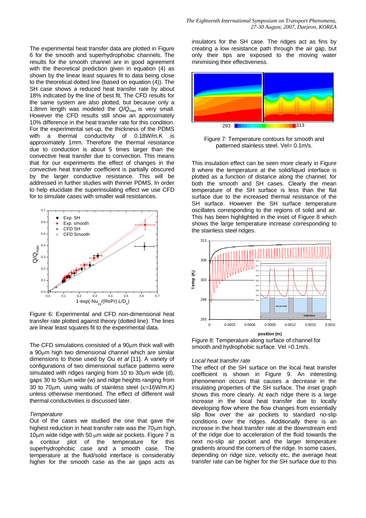The experimental heat transfer data are plotted in Figure 6 for the smooth and superhydrophobic channels. The results for the smooth channel are in good agreement with the theoretical prediction given in equation (4) as shown by the linear least squares fit to data being close to the theoretical dotted line (based on equation (4)). The SH case shows a reduced heat transfer rate by about 18% indicated by the line of best fit. The CFD results for the same system are also plotted, but because only a 1.8mm length was modeled the *Q/Qma*x is very small. However the CFD results still show an approximately 10% difference in the heat transfer rate for this condition. For the experimental set-up, the thickness of the PDMS with a thermal conductivity of 0.18W/m.K is approximately 1mm. Therefore the thermal resistance due to conduction is about 5 times larger than the convective heat transfer due to convection. This means that for our experiments the effect of changes in the convective heat transfer coefficient is partially obscured by the larger conductive resistance. This will be addressed in further studies with thinner PDMS. In order to help elucidate the superinsulating effect we use CFD for to simulate cases with smaller wall resistances.



Figure 6: Experimental and CFD non-dimensional heat transfer rate plotted against theory (dotted line). The lines are linear least squares fit to the experimental data.

The CFD simulations consisted of a  $90\mu$ m thick wall with a 90μm high two dimensional channel which are similar dimensions to those used by Ou *et al* [11]. A variety of configurations of two dimensional surface patterns were simulated with ridges ranging from 10 to 30μm wide (d), gaps 30 to 50μm wide (w) and ridge heights ranging from 30 to 70μm, using walls of stainless steel (κ=16W/m.K) unless otherwise mentioned. The effect of different wall thermal conductivities is discussed later.

#### *Temperature*

Out of the cases we studied the one that gave the highest reduction in heat transfer rate was the 70μm high, 10 $\mu$ m wide ridge with 50  $\mu$ m wide air pockets. Figure 7 is a contour plot of the temperature for this a contour plot of the temperature for this superhydrophobic case and a smooth case. The temperature at the fluid/solid interface is considerably higher for the smooth case as the air gaps acts as

*The Eighteenth International Symposium on Transport Phenomena, 27-30 August, 2007, Daejeon, KOREA* 

insulators for the SH case. The ridges act as fins by creating a low resistance path through the air gap, but only their tips are exposed to the moving water minimising their effectiveness.



Figure 7: Temperature contours for smooth and patterned stainless steel. Vel= 0.1m/s.

This insulation effect can be seen more clearly in Figure 8 where the temperature at the solid/liquid interface is plotted as a function of distance along the channel, for both the smooth and SH cases. Clearly the mean temperature of the SH surface is less than the flat surface due to the increased thermal resistance of the SH surface. However the SH surface temperature oscillates corresponding to the regions of solid and air. This has been highlighted in the inset of Figure 8 which shows the large temperature increase corresponding to the stainless steel ridges.



Figure 8: Temperature along surface of channel for smooth and hydrophobic surface. Vel = 0.1m/s.

#### *Local heat transfer rate*

The effect of the SH surface on the local heat transfer coefficient is shown in Figure 9. An interesting phenomenon occurs that causes a decrease in the insulating properties of the SH surface. The inset graph shows this more clearly. At each ridge there is a large increase in the local heat transfer due to locally developing flow where the flow changes from essentially slip flow over the air pockets to standard no-slip conditions over the ridges. Additionally there is an increase in the heat transfer rate at the downstream end of the ridge due to acceleration of the fluid towards the next no-slip air pocket and the larger temperature gradients around the corners of the ridge. In some cases, depending on ridge size, velocity etc, the average heat transfer rate can be higher for the SH surface due to this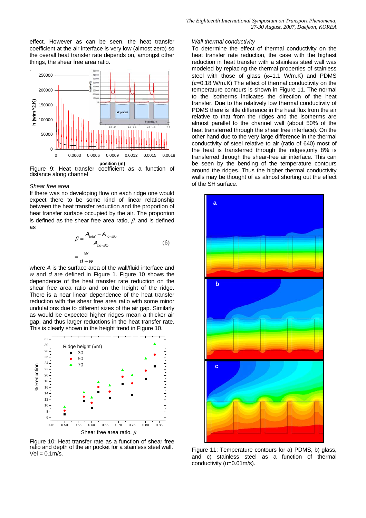effect. However as can be seen, the heat transfer coefficient at the air interface is very low (almost zero) so the overall heat transfer rate depends on, amongst other things, the shear free area ratio.



distance along channel

#### *Shear free area*

If there was no developing flow on each ridge one would expect there to be some kind of linear relationship between the heat transfer reduction and the proportion of heat transfer surface occupied by the air. The proportion is defined as the shear free area ratio,  $\beta$ , and is defined as

$$
\beta = \frac{A_{\text{total}} - A_{\text{no-slip}}}{A_{\text{no-slip}}} \tag{6}
$$

$$
= \frac{W}{d + W}
$$

where *A* is the surface area of the wall/fluid interface and *w* and *d* are defined in Figure 1. Figure 10 shows the dependence of the heat transfer rate reduction on the shear free area ratio and on the height of the ridge. There is a near linear dependence of the heat transfer reduction with the shear free area ratio with some minor undulations due to different sizes of the air gap. Similarly as would be expected higher ridges mean a thicker air gap, and thus larger reductions in the heat transfer rate. This is clearly shown in the height trend in Figure 10.



Figure 10: Heat transfer rate as a function of shear free ratio and depth of the air pocket for a stainless steel wall.  $Vel = 0.1m/s.$ 

#### *Wall thermal conductivity*

To determine the effect of thermal conductivity on the heat transfer rate reduction, the case with the highest reduction in heat transfer with a stainless steel wall was modeled by replacing the thermal properties of stainless steel with those of glass  $(\kappa=1.1 \text{ W/m.K})$  and PDMS  $(k=0.18 \text{ W/m}$ . K) The effect of thermal conductivity on the temperature contours is shown in Figure 11. The normal to the isotherms indicates the direction of the heat transfer. Due to the relatively low thermal conductivity of PDMS there is little difference in the heat flux from the air relative to that from the ridges and the isotherms are almost parallel to the channel wall (about 50% of the heat transferred through the shear free interface). On the other hand due to the very large difference in the thermal conductivity of steel relative to air (ratio of 640) most of the heat is transferred through the ridges,only 8% is transferred through the shear-free air interface. This can be seen by the bending of the temperature contours around the ridges. Thus the higher thermal conductivity walls may be thought of as almost shorting out the effect of the SH surface.



Figure 11: Temperature contours for a) PDMS, b) glass, and c) stainless steel as a function of thermal conductivity (u=0.01m/s).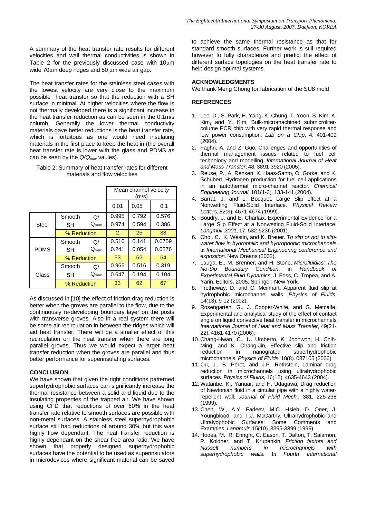A summary of the heat transfer rate results for different velocities and wall thermal conductivities is shown in Table 2 for the previously discussed case with 10μm wide 70μm deep ridges and 50 μm wide air gap.

The heat transfer rates for the stainless steel cases with the lowest velocity are very close to the maximum possible heat transfer so that the reduction with a SH surface in minimal. At higher velocities where the flow is not thermally developed there is a significant increase in the heat transfer reduction as can be seen in the 0.1m/s columb. Generally the lower thermal conductivity materials gave better reductions is the heat transfer rate, which is fortuitous as one would need insulating materials in the first place to keep the heat in (the overall heat transfer rate is lower with the glass and PDMS as can be seen by the *Q/Qmax* vaules).

#### Table 2: Summary of heat transfer rates for different materials and flow velocities

|             |             |                  | Mean channel velocity |       |        |  |
|-------------|-------------|------------------|-----------------------|-------|--------|--|
|             |             |                  | (m/s)                 |       |        |  |
|             |             |                  | 0.01                  | 0.05  | 0.1    |  |
| Steel       | Smooth      | Q/               | 0.995                 | 0.792 | 0.576  |  |
|             | SН          | $Q_{\text{max}}$ | 0.974                 | 0.594 | 0.386  |  |
|             | % Reduction |                  | 2                     | 25    | 33     |  |
| <b>PDMS</b> | Smooth      | Q/               | 0.516                 | 0.141 | 0.0759 |  |
|             | SН          | $Q_{\text{max}}$ | 0.241                 | 0.054 | 0.0276 |  |
|             | % Reduction |                  | 53                    | 62    | 64     |  |
| Glass       | Smooth      | $\Omega$         | 0.966                 | 0.516 | 0.319  |  |
|             | SН          | $Q_{\text{max}}$ | 0.647                 | 0.194 | 0.104  |  |
|             | % Reduction |                  | 33                    | 62    | 67     |  |

As discussed in [10] the effect of friction drag reduction is better when the groves are parallel to the flow, due to the continuously re-developing boundary layer on the posts with transverse groves. Also in a real system there will be some air recirculation in between the ridges which will aid heat transfer. There will be a smaller effect of this recirculation on the heat transfer when there are long parallel groves. Thus we would expect a larger heat transfer reduction when the groves are parallel and thus better performance for superinsulating surfaces.

#### **CONCLUSION**

We have shown that given the right conditions patterned superhydrophobic surfaces can significantly increase the thermal resistance between a solid and liquid due to the insulating properties of the trapped air. We have shown using CFD that reductions of over 60% in the heat transfer rate relative to smooth surfaces are possible with non-metal surfaces. A stainless steel superhydrophobic surface still had reductions of around 30% but this was highly flow dependant. The heat transfer reduction is highly dependant on the shear free area ratio. We have shown that properly designed superhydrophobic surfaces have the potential to be used as superinsulators in microdevices where significant material can be saved

to achieve the same thermal resistance as that for standard smooth surfaces. Further work is still required however to fully characterize and predict the effect of different surface topologies on the heat transfer rate to help design optimal systems.

#### **ACKNOWLEDGMENTS**

We thank Meng Chong for fabrication of the SU8 mold

#### **REFERENCES**

- 1. Lee, D., S. Park, H. Yang, K. Chung, T. Yoon, S. Kim, K. Kim, and Y. Kim, Bulk-micromachined submicrolitercolume PCR chip with very rapid thermal response and low power consumption*. Lab on a Chip*, 4. 401-409 (2004).
- 2. Faghri, A. and Z. Guo, Challenges and opportunities of thermal management issues related to fuel cell technology and modelling*. International Journal of Heat and Mass Transfer*, 48. 3891-3920 (2005).
- 3. Reuse, P., A. Renken, K. Haas-Santo, O. Gorke, and K. Schubert, Hydrogen production for fuel cell applications in an autothermal micro-channel reactor*. Chemical Engineering Journal*, 101(1-3). 133-141 (2004).
- 4. Barrat, J. and L. Bocquet, Large Slip effect at a Nonwetting Fluid-Solid Interface*. Physical Review Letters*, 82(3). 4671-4674 (1999).
- 5. Boudry, J. and E. Charlaix, Experimental Evidence for a Large Slip Effect at a Nonwetting Fluid-Solid Interface*. Langmuir 2001*, 17. 532-5236 (2001).
- 6. Choi, C., K. Westin, and K. Breuer. *To slip or not to slipwater flow in hydrophilic and hydrophobic microchannels*. in *International Mechanical Engineering conference and exposition*. New Oreans.(2002).
- 7. Lauga, E., M. Brenner, and H. Stone, *Microfluidics: The No-Sip Boundary Condition*, in *Handbook of Experimental Fluid Dynamics*, J. Foss, C. Tropea, and A. Yarin, Editors. 2005, Springer: New York.
- 8. Tretheway, D. and C. Meinhart, Apparent fluid slip at hydrophobic microchannel walls*. Physics of Fluids*, 14(13). 9-12 (2002).
- 9. Rosengarten, G., J. Cooper-White, and G. Metcalfe, Experimental and analytical study of the effect of contact angle on liquid convective heat transfer in microchannels*. International Journal of Heat and Mass Transfer*, 49(21- 22). 4161-4170 (2006).
- 10. Chang-Hwan, C., U. Umberto, K. Joonwon, H. Chih-Ming, and K. Chang-Jin, Effective slip and friction reduction in nanograted superhydrophobic microchannels*. Physics of Fluids*, 18(8). 087105 (2006).
- 11. Ou, J., B. Perot, and J.P. Rothstein, Laminar drag reduction in microchannels using ultrahydrophobic surfaces*. Physics of Fluids*, 16(12). 4635-4643 (2004).
- 12. Watanbe, K., Yanuar, and H. Udagawa, Drag reduction of Newtonian fluid in a circular pipe with a highly waterrepellent wall*. Journal of Fluid Mech.*, 381. 225-238 (1999).
- 13. Chen, W., A.Y. Fadeev, M.C. Hsieh, D. Oner, J. Youngblood, and T.J. McCarthy, Ultrahydrophobic and Ultralyophobic Surfaces: Some Comments and Examples*. Langmuir*, 15(10). 3395-3399 (1999).
- 14. Hodes, M., R. Enright, C. Eason, T. Dalton, T. Salamon, P. Koldner, and T. Krupenkin. *Friction factors and Nusselt numbers in microchannels with superhydrophobic walls*. in *Fourth International*